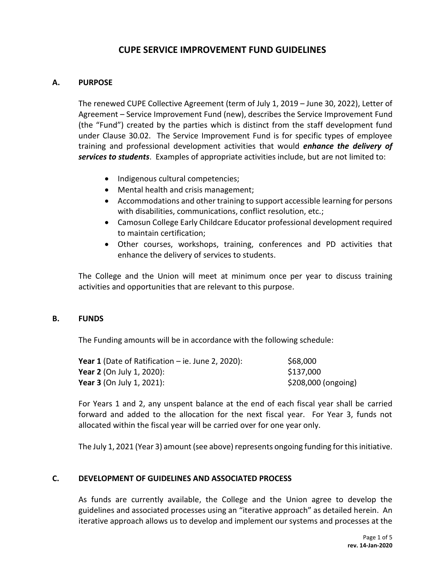# **CUPE SERVICE IMPROVEMENT FUND GUIDELINES**

#### **A. PURPOSE**

The renewed CUPE Collective Agreement (term of July 1, 2019 – June 30, 2022), Letter of Agreement – Service Improvement Fund (new), describes the Service Improvement Fund (the "Fund") created by the parties which is distinct from the staff development fund under Clause 30.02. The Service Improvement Fund is for specific types of employee training and professional development activities that would *enhance the delivery of services to students*. Examples of appropriate activities include, but are not limited to:

- Indigenous cultural competencies;
- Mental health and crisis management;
- Accommodations and other training to support accessible learning for persons with disabilities, communications, conflict resolution, etc.;
- Camosun College Early Childcare Educator professional development required to maintain certification;
- Other courses, workshops, training, conferences and PD activities that enhance the delivery of services to students.

The College and the Union will meet at minimum once per year to discuss training activities and opportunities that are relevant to this purpose.

#### **B. FUNDS**

The Funding amounts will be in accordance with the following schedule:

| <b>Year 1</b> (Date of Ratification $-$ ie. June 2, 2020): | \$68,000            |
|------------------------------------------------------------|---------------------|
| <b>Year 2</b> (On July 1, 2020):                           | \$137,000           |
| <b>Year 3</b> (On July 1, 2021):                           | \$208,000 (ongoing) |

For Years 1 and 2, any unspent balance at the end of each fiscal year shall be carried forward and added to the allocation for the next fiscal year. For Year 3, funds not allocated within the fiscal year will be carried over for one year only.

The July 1, 2021 (Year 3) amount (see above) represents ongoing funding for this initiative.

#### **C. DEVELOPMENT OF GUIDELINES AND ASSOCIATED PROCESS**

As funds are currently available, the College and the Union agree to develop the guidelines and associated processes using an "iterative approach" as detailed herein. An iterative approach allows us to develop and implement our systems and processes at the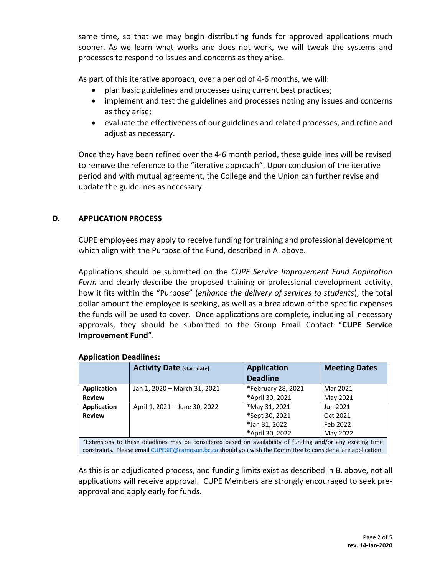same time, so that we may begin distributing funds for approved applications much sooner. As we learn what works and does not work, we will tweak the systems and processes to respond to issues and concerns as they arise.

As part of this iterative approach, over a period of 4-6 months, we will:

- plan basic guidelines and processes using current best practices;
- implement and test the guidelines and processes noting any issues and concerns as they arise;
- evaluate the effectiveness of our guidelines and related processes, and refine and adjust as necessary.

Once they have been refined over the 4-6 month period, these guidelines will be revised to remove the reference to the "iterative approach". Upon conclusion of the iterative period and with mutual agreement, the College and the Union can further revise and update the guidelines as necessary.

# **D. APPLICATION PROCESS**

CUPE employees may apply to receive funding for training and professional development which align with the Purpose of the Fund, described in A. above.

Applications should be submitted on the *CUPE Service Improvement Fund Application Form* and clearly describe the proposed training or professional development activity, how it fits within the "Purpose" (*enhance the delivery of services to students*), the total dollar amount the employee is seeking, as well as a breakdown of the specific expenses the funds will be used to cover. Once applications are complete, including all necessary approvals, they should be submitted to the Group Email Contact "**CUPE Service Improvement Fund**".

|                                                                                                               | <b>Activity Date (start date)</b> | <b>Application</b> | <b>Meeting Dates</b> |  |
|---------------------------------------------------------------------------------------------------------------|-----------------------------------|--------------------|----------------------|--|
|                                                                                                               |                                   | <b>Deadline</b>    |                      |  |
| <b>Application</b>                                                                                            | Jan 1, 2020 - March 31, 2021      | *February 28, 2021 | Mar 2021             |  |
| <b>Review</b>                                                                                                 |                                   | *April 30, 2021    | May 2021             |  |
| <b>Application</b>                                                                                            | April 1, 2021 - June 30, 2022     | *May 31, 2021      | Jun 2021             |  |
| <b>Review</b>                                                                                                 |                                   | *Sept 30, 2021     | Oct 2021             |  |
|                                                                                                               |                                   | *Jan 31, 2022      | Feb 2022             |  |
|                                                                                                               |                                   | *April 30, 2022    | May 2022             |  |
| *Extensions to these deadlines may be considered based on availability of funding and/or any existing time    |                                   |                    |                      |  |
| constraints. Please email CUPESIF@camosun.bc.ca should you wish the Committee to consider a late application. |                                   |                    |                      |  |

### **Application Deadlines:**

As this is an adjudicated process, and funding limits exist as described in B. above, not all applications will receive approval. CUPE Members are strongly encouraged to seek preapproval and apply early for funds.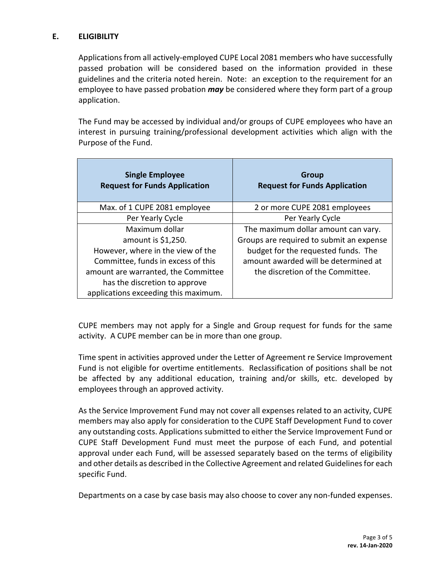# **E. ELIGIBILITY**

Applications from all actively-employed CUPE Local 2081 members who have successfully passed probation will be considered based on the information provided in these guidelines and the criteria noted herein. Note: an exception to the requirement for an employee to have passed probation *may* be considered where they form part of a group application.

The Fund may be accessed by individual and/or groups of CUPE employees who have an interest in pursuing training/professional development activities which align with the Purpose of the Fund.

| <b>Single Employee</b><br><b>Request for Funds Application</b> | <b>Group</b><br><b>Request for Funds Application</b> |
|----------------------------------------------------------------|------------------------------------------------------|
| Max. of 1 CUPE 2081 employee                                   | 2 or more CUPE 2081 employees                        |
| Per Yearly Cycle                                               | Per Yearly Cycle                                     |
| Maximum dollar                                                 | The maximum dollar amount can vary.                  |
| amount is \$1,250.                                             | Groups are required to submit an expense             |
| However, where in the view of the                              | budget for the requested funds. The                  |
| Committee, funds in excess of this                             | amount awarded will be determined at                 |
| amount are warranted, the Committee                            | the discretion of the Committee.                     |
| has the discretion to approve                                  |                                                      |
| applications exceeding this maximum.                           |                                                      |

CUPE members may not apply for a Single and Group request for funds for the same activity. A CUPE member can be in more than one group.

Time spent in activities approved under the Letter of Agreement re Service Improvement Fund is not eligible for overtime entitlements. Reclassification of positions shall be not be affected by any additional education, training and/or skills, etc. developed by employees through an approved activity.

As the Service Improvement Fund may not cover all expenses related to an activity, CUPE members may also apply for consideration to the CUPE Staff Development Fund to cover any outstanding costs. Applications submitted to either the Service Improvement Fund or CUPE Staff Development Fund must meet the purpose of each Fund, and potential approval under each Fund, will be assessed separately based on the terms of eligibility and other details as described in the Collective Agreement and related Guidelines for each specific Fund.

Departments on a case by case basis may also choose to cover any non-funded expenses.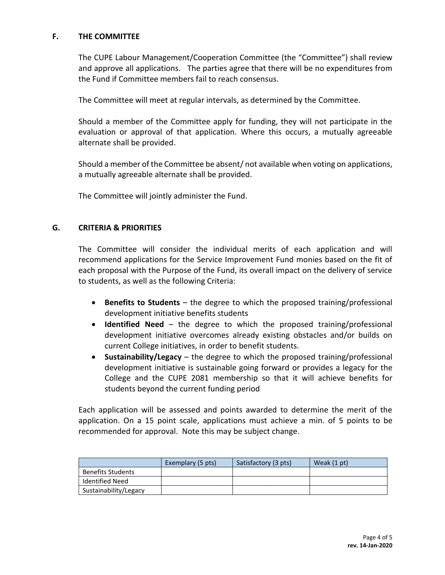### **F. THE COMMITTEE**

The CUPE Labour Management/Cooperation Committee (the "Committee") shall review and approve all applications. The parties agree that there will be no expenditures from the Fund if Committee members fail to reach consensus.

The Committee will meet at regular intervals, as determined by the Committee.

Should a member of the Committee apply for funding, they will not participate in the evaluation or approval of that application. Where this occurs, a mutually agreeable alternate shall be provided.

Should a member of the Committee be absent/ not available when voting on applications, a mutually agreeable alternate shall be provided.

The Committee will jointly administer the Fund.

# **G. CRITERIA & PRIORITIES**

The Committee will consider the individual merits of each application and will recommend applications for the Service Improvement Fund monies based on the fit of each proposal with the Purpose of the Fund, its overall impact on the delivery of service to students, as well as the following Criteria:

- **Benefits to Students** the degree to which the proposed training/professional development initiative benefits students
- **Identified Need** the degree to which the proposed training/professional development initiative overcomes already existing obstacles and/or builds on current College initiatives, in order to benefit students.
- **Sustainability/Legacy** the degree to which the proposed training/professional development initiative is sustainable going forward or provides a legacy for the College and the CUPE 2081 membership so that it will achieve benefits for students beyond the current funding period

Each application will be assessed and points awarded to determine the merit of the application. On a 15 point scale, applications must achieve a min. of 5 points to be recommended for approval. Note this may be subject change.

|                          | Exemplary (5 pts) | Satisfactory (3 pts) | Weak (1 pt) |
|--------------------------|-------------------|----------------------|-------------|
| <b>Benefits Students</b> |                   |                      |             |
| <b>Identified Need</b>   |                   |                      |             |
| Sustainability/Legacy    |                   |                      |             |